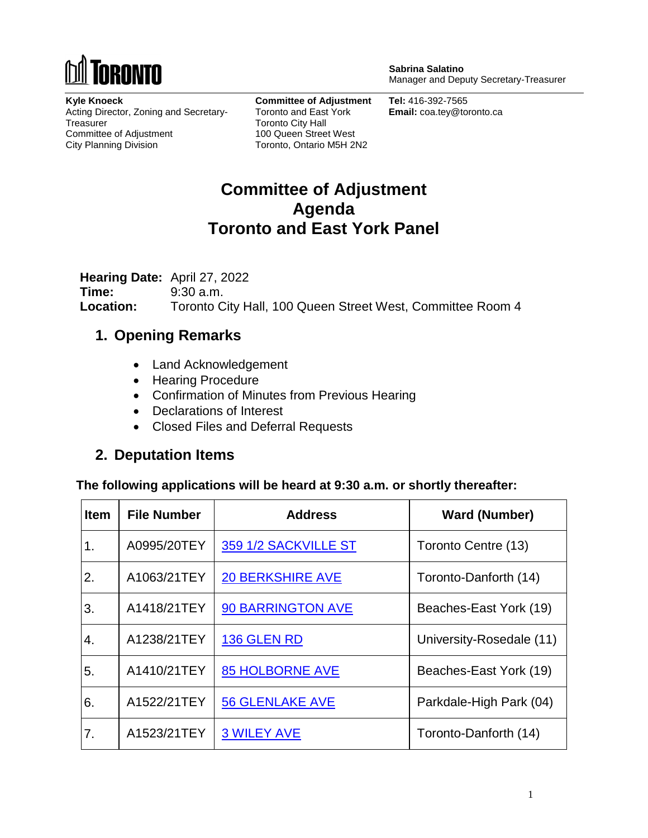

**Sabrina Salatino** Manager and Deputy Secretary-Treasurer

**Kyle Knoeck** Acting Director, Zoning and Secretary-**Treasurer** Committee of Adjustment City Planning Division

**Committee of Adjustment** Toronto and East York Toronto City Hall 100 Queen Street West Toronto, Ontario M5H 2N2

**Tel:** 416-392-7565 **Email:** coa.tey@toronto.ca

# **Committee of Adjustment Agenda Toronto and East York Panel**

**Hearing Date:** April 27, 2022 **Time:** 9:30 a.m. **Location:** Toronto City Hall, 100 Queen Street West, Committee Room 4

#### **1. Opening Remarks**

- Land Acknowledgement
- Hearing Procedure
- Confirmation of Minutes from Previous Hearing
- Declarations of Interest
- Closed Files and Deferral Requests

## **2. Deputation Items**

**The following applications will be heard at 9:30 a.m. or shortly thereafter:**

| <b>Item</b> | <b>File Number</b> | <b>Address</b>          | <b>Ward (Number)</b>     |
|-------------|--------------------|-------------------------|--------------------------|
| 1.          | A0995/20TEY        | 359 1/2 SACKVILLE ST    | Toronto Centre (13)      |
| 2.          | A1063/21TEY        | <b>20 BERKSHIRE AVE</b> | Toronto-Danforth (14)    |
| 3.          | A1418/21TEY        | 90 BARRINGTON AVE       | Beaches-East York (19)   |
| 4.          | A1238/21TEY        | 136 GLEN RD             | University-Rosedale (11) |
| 5.          | A1410/21TEY        | <b>85 HOLBORNE AVE</b>  | Beaches-East York (19)   |
| 6.          | A1522/21TEY        | <b>56 GLENLAKE AVE</b>  | Parkdale-High Park (04)  |
| 7.          | A1523/21TEY        | <b>3 WILEY AVE</b>      | Toronto-Danforth (14)    |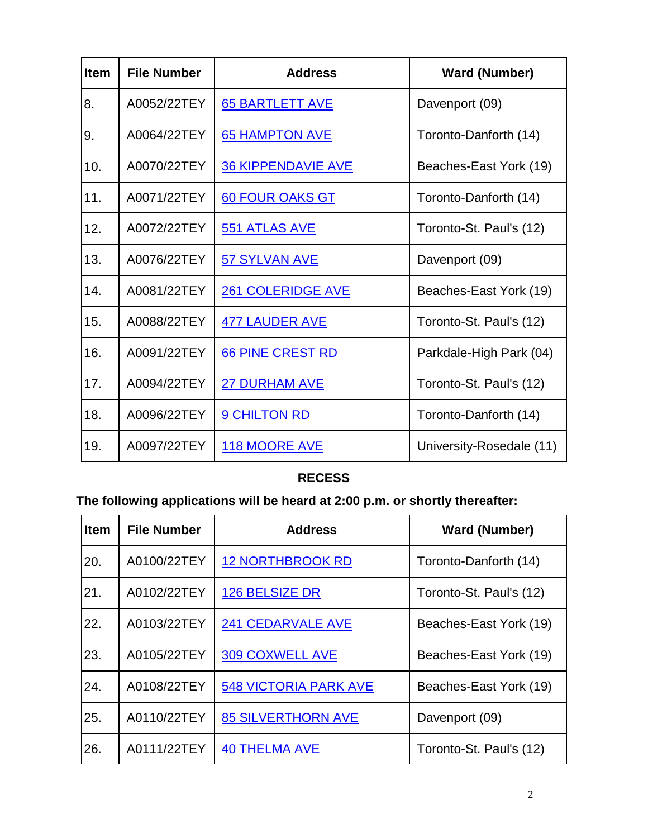| <b>Item</b> | <b>File Number</b> | <b>Address</b>            | <b>Ward (Number)</b>     |
|-------------|--------------------|---------------------------|--------------------------|
| 8.          | A0052/22TEY        | <b>65 BARTLETT AVE</b>    | Davenport (09)           |
| 9.          | A0064/22TEY        | <b>65 HAMPTON AVE</b>     | Toronto-Danforth (14)    |
| 10.         | A0070/22TEY        | <b>36 KIPPENDAVIE AVE</b> | Beaches-East York (19)   |
| 11.         | A0071/22TEY        | 60 FOUR OAKS GT           | Toronto-Danforth (14)    |
| 12.         | A0072/22TEY        | 551 ATLAS AVE             | Toronto-St. Paul's (12)  |
| 13.         | A0076/22TEY        | 57 SYLVAN AVE             | Davenport (09)           |
| 14.         | A0081/22TEY        | <b>261 COLERIDGE AVE</b>  | Beaches-East York (19)   |
| 15.         | A0088/22TEY        | <b>477 LAUDER AVE</b>     | Toronto-St. Paul's (12)  |
| 16.         | A0091/22TEY        | 66 PINE CREST RD          | Parkdale-High Park (04)  |
| 17.         | A0094/22TEY        | <b>27 DURHAM AVE</b>      | Toronto-St. Paul's (12)  |
| 18.         | A0096/22TEY        | <b>9 CHILTON RD</b>       | Toronto-Danforth (14)    |
| 19.         | A0097/22TEY        | 118 MOORE AVE             | University-Rosedale (11) |

## **RECESS**

# **The following applications will be heard at 2:00 p.m. or shortly thereafter:**

| <b>Item</b> | <b>File Number</b> | <b>Address</b>               | <b>Ward (Number)</b>    |
|-------------|--------------------|------------------------------|-------------------------|
| 20.         | A0100/22TEY        | <b>12 NORTHBROOK RD</b>      | Toronto-Danforth (14)   |
| 21.         | A0102/22TEY        | <b>126 BELSIZE DR</b>        | Toronto-St. Paul's (12) |
| 22.         | A0103/22TEY        | 241 CEDARVALE AVE            | Beaches-East York (19)  |
| 23.         | A0105/22TEY        | 309 COXWELL AVE              | Beaches-East York (19)  |
| 24.         | A0108/22TEY        | <b>548 VICTORIA PARK AVE</b> | Beaches-East York (19)  |
| 25.         | A0110/22TEY        | <b>85 SILVERTHORN AVE</b>    | Davenport (09)          |
| 26.         | A0111/22TEY        | <b>40 THELMA AVE</b>         | Toronto-St. Paul's (12) |